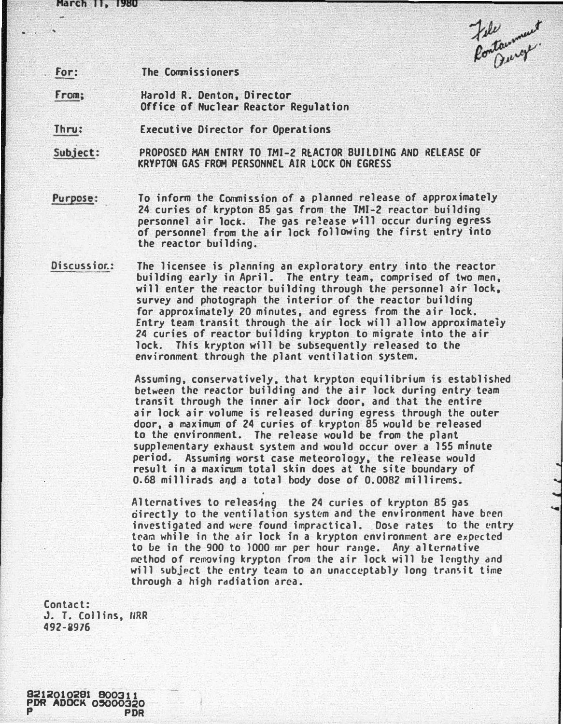March II, 1980

Jele<br>Pontaument

for: The Commissioners

From; Harold R. Denton, Director Office of Nuclear Reactor Regulation

Thru: Executive Director for Operations

Subject: PROPOSED MAN ENTRY TO TMI-2 REACTOR BUILDING AND RELEASE OF KRYPTON GAS FROM PERSONNEL AIR LOCK ON EGRESS

## Purpose:

To infonm the Commission of a planned release of approximately 24 curies of krypton 85 gas from the TMI-2 reactor building personnel air lock. The gas release will occur during egress of personnel from the air lock following the first �ntry into the reactor building.

Discussior.: The licensee is planning an exploratory entry into the reactor building early in April. The entry team, comprised of two men, will enter the reactor building through the personnel air lock, survey and photograph the interior of the reactor building for approximately 20 minutes, and egress from the air lock. Entry team transit through the air lock will allow approximately 24 curies of reactor building krypton to migrate into the air lock. This krypton will be subsequently released to the environment through the plant ventilation system.

> Assuming, conservatively. that krypton equilibrium is established between the reactor building and the air lock during entry team transit through the inner air lock door, and that the entire air lock air volume is released during egress through the outer door, a maximum of 24 curies of krypton 85 would be released to the environment. The release would be from the plant supplementary exhaust system and would occur over a 155 minute period. Assuming worst case meteorology, the release would result in a maxicum total skin does at the site boundary of 0.68 millirads and a total body dose of 0.0082 millirems.

> Alternatives to releasing the 24 curies of krypton 85 gas oirectly to the ventilation system and the environment have been investigated and were found impractical. Dose rates to the entry team while in the air lock fn a krypton environment are expected to be in the 900 to 1000 mr per hour range. Any alternative method of removing krypton from the air lock will be lengthy and will subject the entry team to an unacceptably long transit time through a high radiation area.

Contact: J. T. Collins, NRR 492-8976

2010291 800311<br>| ADOCK 05000320

**PDR**